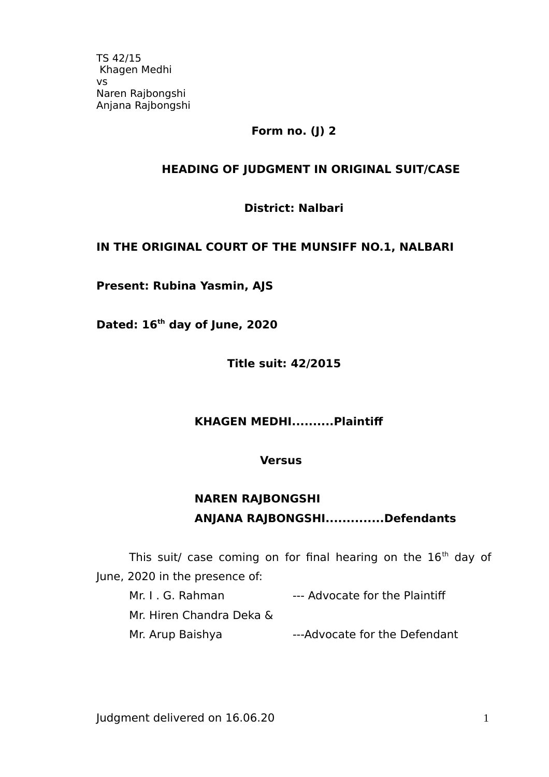## **Form no. (J) 2**

## **HEADING OF JUDGMENT IN ORIGINAL SUIT/CASE**

**District: Nalbari**

### **IN THE ORIGINAL COURT OF THE MUNSIFF NO.1, NALBARI**

**Present: Rubina Yasmin, AJS**

**Dated: 16th day of June, 2020** 

**Title suit: 42/2015**

### **KHAGEN MEDHI..........Plaintif**

#### **Versus**

# **NAREN RAJBONGSHI ANJANA RAJBONGSHI..............Defendants**

This suit/ case coming on for final hearing on the  $16<sup>th</sup>$  day of June, 2020 in the presence of:

Mr. I. G. Rahman --- Advocate for the Plaintiff

Mr. Hiren Chandra Deka &

Mr. Arup Baishya **---Advocate for the Defendant**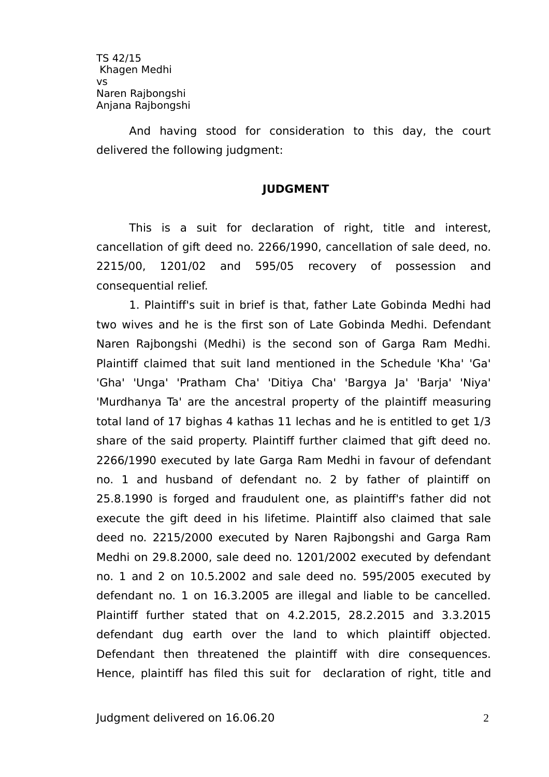And having stood for consideration to this day, the court delivered the following judgment:

### **JUDGMENT**

This is a suit for declaration of right, title and interest, cancellation of gift deed no. 2266/1990, cancellation of sale deed, no. 2215/00, 1201/02 and 595/05 recovery of possession and consequential relief.

1. Plaintif's suit in brief is that, father Late Gobinda Medhi had two wives and he is the first son of Late Gobinda Medhi. Defendant Naren Rajbongshi (Medhi) is the second son of Garga Ram Medhi. Plaintif claimed that suit land mentioned in the Schedule 'Kha' 'Ga' 'Gha' 'Unga' 'Pratham Cha' 'Ditiya Cha' 'Bargya Ja' 'Barja' 'Niya' 'Murdhanya Ta' are the ancestral property of the plaintiff measuring total land of 17 bighas 4 kathas 11 lechas and he is entitled to get 1/3 share of the said property. Plaintiff further claimed that gift deed no. 2266/1990 executed by late Garga Ram Medhi in favour of defendant no. 1 and husband of defendant no. 2 by father of plaintif on 25.8.1990 is forged and fraudulent one, as plaintif's father did not execute the gift deed in his lifetime. Plaintif also claimed that sale deed no. 2215/2000 executed by Naren Rajbongshi and Garga Ram Medhi on 29.8.2000, sale deed no. 1201/2002 executed by defendant no. 1 and 2 on 10.5.2002 and sale deed no. 595/2005 executed by defendant no. 1 on 16.3.2005 are illegal and liable to be cancelled. Plaintif further stated that on 4.2.2015, 28.2.2015 and 3.3.2015 defendant dug earth over the land to which plaintif objected. Defendant then threatened the plaintiff with dire consequences. Hence, plaintiff has filed this suit for declaration of right, title and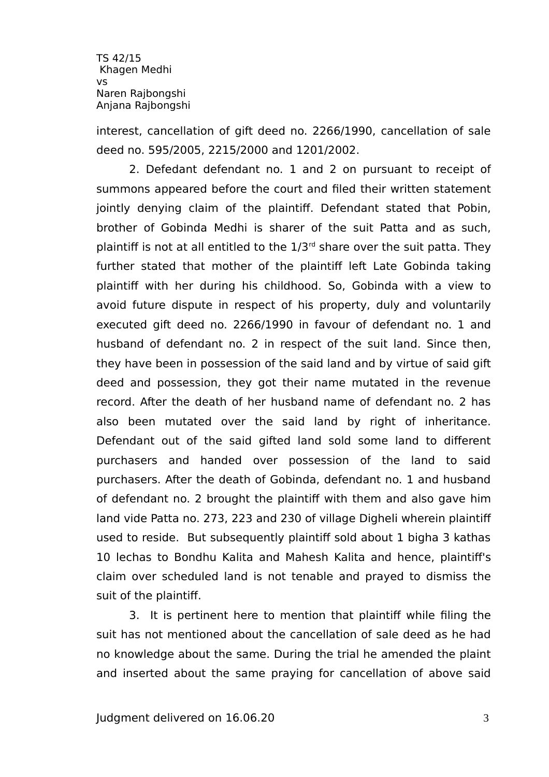interest, cancellation of gift deed no. 2266/1990, cancellation of sale deed no. 595/2005, 2215/2000 and 1201/2002.

2. Defedant defendant no. 1 and 2 on pursuant to receipt of summons appeared before the court and filed their written statement jointly denying claim of the plaintiff. Defendant stated that Pobin, brother of Gobinda Medhi is sharer of the suit Patta and as such, plaintiff is not at all entitled to the  $1/3<sup>rd</sup>$  share over the suit patta. They further stated that mother of the plaintiff left Late Gobinda taking plaintif with her during his childhood. So, Gobinda with a view to avoid future dispute in respect of his property, duly and voluntarily executed gift deed no. 2266/1990 in favour of defendant no. 1 and husband of defendant no. 2 in respect of the suit land. Since then, they have been in possession of the said land and by virtue of said gift deed and possession, they got their name mutated in the revenue record. After the death of her husband name of defendant no. 2 has also been mutated over the said land by right of inheritance. Defendant out of the said gifted land sold some land to diferent purchasers and handed over possession of the land to said purchasers. After the death of Gobinda, defendant no. 1 and husband of defendant no. 2 brought the plaintif with them and also gave him land vide Patta no. 273, 223 and 230 of village Digheli wherein plaintif used to reside. But subsequently plaintif sold about 1 bigha 3 kathas 10 lechas to Bondhu Kalita and Mahesh Kalita and hence, plaintif's claim over scheduled land is not tenable and prayed to dismiss the suit of the plaintif.

3. It is pertinent here to mention that plaintif while filing the suit has not mentioned about the cancellation of sale deed as he had no knowledge about the same. During the trial he amended the plaint and inserted about the same praying for cancellation of above said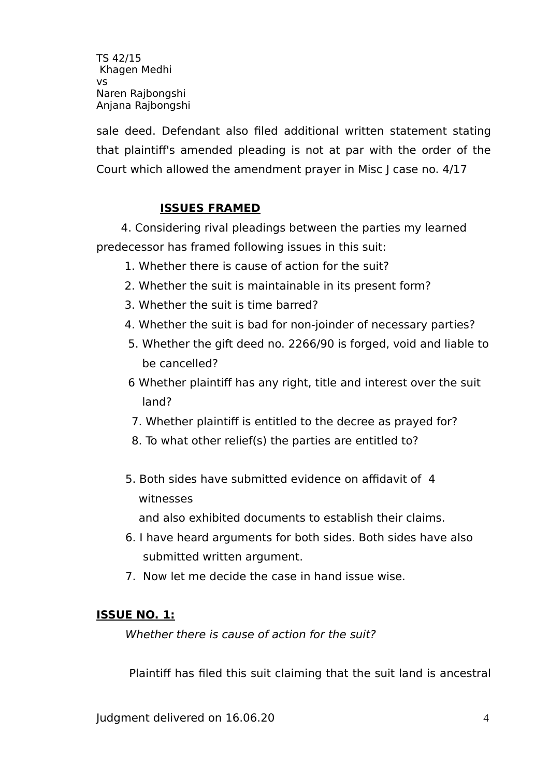sale deed. Defendant also filed additional written statement stating that plaintif's amended pleading is not at par with the order of the Court which allowed the amendment prayer in Misc J case no. 4/17

## **ISSUES FRAMED**

4. Considering rival pleadings between the parties my learned predecessor has framed following issues in this suit:

- 1. Whether there is cause of action for the suit?
- 2. Whether the suit is maintainable in its present form?
- 3. Whether the suit is time barred?
- 4. Whether the suit is bad for non-joinder of necessary parties?
- 5. Whether the gift deed no. 2266/90 is forged, void and liable to be cancelled?
- 6 Whether plaintif has any right, title and interest over the suit land?
- 7. Whether plaintif is entitled to the decree as prayed for?
- 8. To what other relief(s) the parties are entitled to?
- 5. Both sides have submitted evidence on affidavit of 4 witnesses

and also exhibited documents to establish their claims.

- 6. I have heard arguments for both sides. Both sides have also submitted written argument.
- 7. Now let me decide the case in hand issue wise.

### **ISSUE NO. 1:**

Whether there is cause of action for the suit?

Plaintif has filed this suit claiming that the suit land is ancestral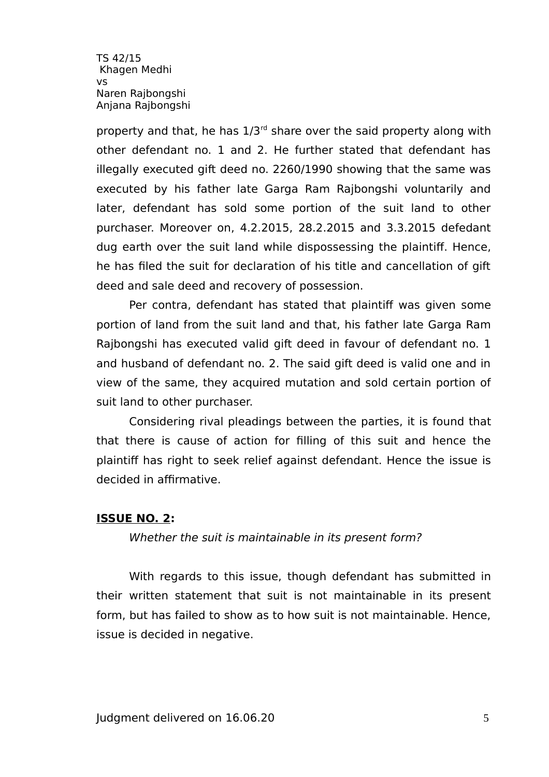property and that, he has  $1/3^{rd}$  share over the said property along with other defendant no. 1 and 2. He further stated that defendant has illegally executed gift deed no. 2260/1990 showing that the same was executed by his father late Garga Ram Rajbongshi voluntarily and later, defendant has sold some portion of the suit land to other purchaser. Moreover on, 4.2.2015, 28.2.2015 and 3.3.2015 defedant dug earth over the suit land while dispossessing the plaintif. Hence, he has filed the suit for declaration of his title and cancellation of gift deed and sale deed and recovery of possession.

Per contra, defendant has stated that plaintiff was given some portion of land from the suit land and that, his father late Garga Ram Rajbongshi has executed valid gift deed in favour of defendant no. 1 and husband of defendant no. 2. The said gift deed is valid one and in view of the same, they acquired mutation and sold certain portion of suit land to other purchaser.

Considering rival pleadings between the parties, it is found that that there is cause of action for filling of this suit and hence the plaintif has right to seek relief against defendant. Hence the issue is decided in affirmative.

### **ISSUE NO. 2:**

Whether the suit is maintainable in its present form?

With regards to this issue, though defendant has submitted in their written statement that suit is not maintainable in its present form, but has failed to show as to how suit is not maintainable. Hence, issue is decided in negative.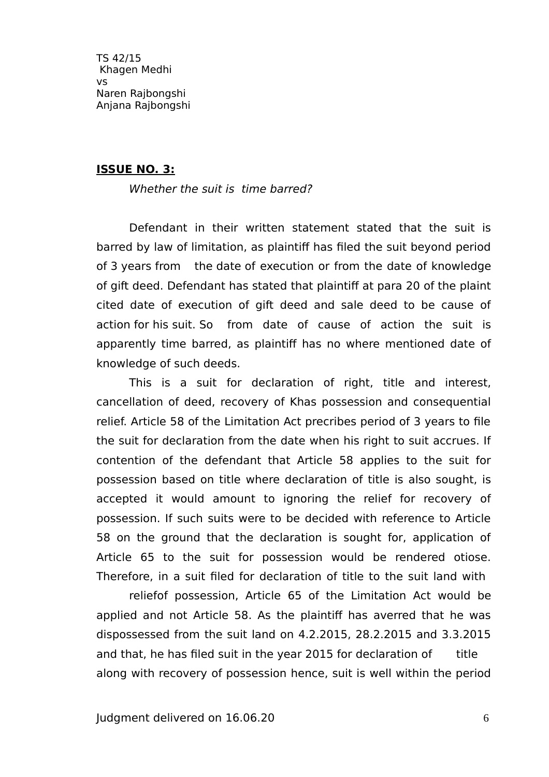#### **ISSUE NO. 3:**

Whether the suit is time barred?

Defendant in their written statement stated that the suit is barred by law of limitation, as plaintif has filed the suit beyond period of 3 years from the date of execution or from the date of knowledge of gift deed. Defendant has stated that plaintif at para 20 of the plaint cited date of execution of gift deed and sale deed to be cause of action for his suit. So from date of cause of action the suit is apparently time barred, as plaintif has no where mentioned date of knowledge of such deeds.

This is a suit for declaration of right, title and interest, cancellation of deed, recovery of Khas possession and consequential relief. Article 58 of the Limitation Act precribes period of 3 years to file the suit for declaration from the date when his right to suit accrues. If contention of the defendant that Article 58 applies to the suit for possession based on title where declaration of title is also sought, is accepted it would amount to ignoring the relief for recovery of possession. If such suits were to be decided with reference to Article 58 on the ground that the declaration is sought for, application of Article 65 to the suit for possession would be rendered otiose. Therefore, in a suit filed for declaration of title to the suit land with

reliefof possession, Article 65 of the Limitation Act would be applied and not Article 58. As the plaintif has averred that he was dispossessed from the suit land on 4.2.2015, 28.2.2015 and 3.3.2015 and that, he has filed suit in the year 2015 for declaration of title along with recovery of possession hence, suit is well within the period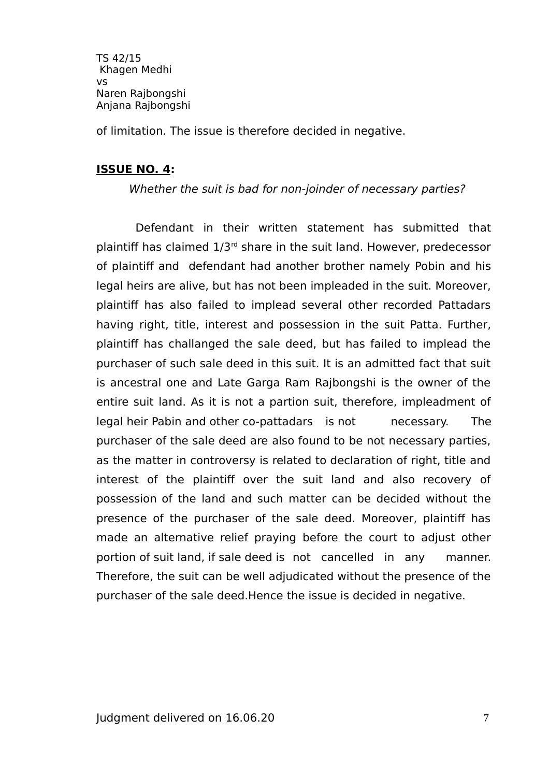of limitation. The issue is therefore decided in negative.

### **ISSUE NO. 4:**

Whether the suit is bad for non-joinder of necessary parties?

Defendant in their written statement has submitted that plaintiff has claimed  $1/3<sup>rd</sup>$  share in the suit land. However, predecessor of plaintif and defendant had another brother namely Pobin and his legal heirs are alive, but has not been impleaded in the suit. Moreover, plaintif has also failed to implead several other recorded Pattadars having right, title, interest and possession in the suit Patta. Further, plaintif has challanged the sale deed, but has failed to implead the purchaser of such sale deed in this suit. It is an admitted fact that suit is ancestral one and Late Garga Ram Rajbongshi is the owner of the entire suit land. As it is not a partion suit, therefore, impleadment of legal heir Pabin and other co-pattadars is not necessary. The purchaser of the sale deed are also found to be not necessary parties, as the matter in controversy is related to declaration of right, title and interest of the plaintiff over the suit land and also recovery of possession of the land and such matter can be decided without the presence of the purchaser of the sale deed. Moreover, plaintif has made an alternative relief praying before the court to adjust other portion of suit land, if sale deed is not cancelled in any manner. Therefore, the suit can be well adjudicated without the presence of the purchaser of the sale deed.Hence the issue is decided in negative.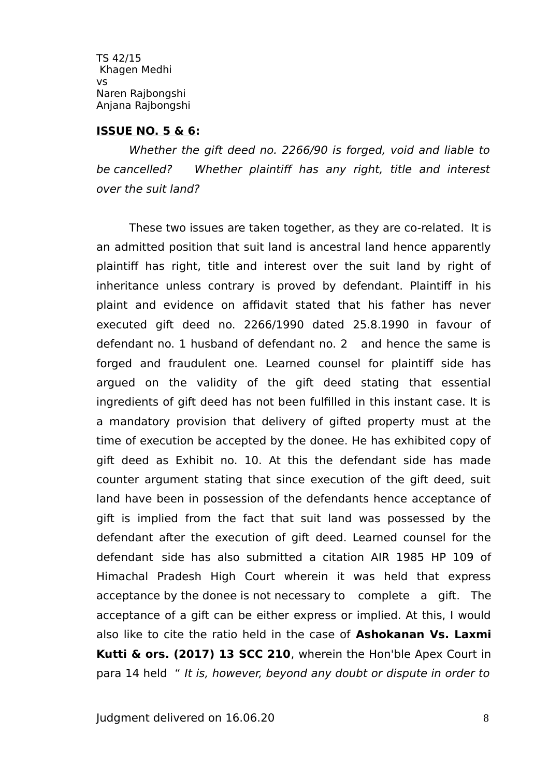#### **ISSUE NO. 5 & 6:**

Whether the gift deed no. 2266/90 is forged, void and liable to be cancelled? Whether plaintiff has any right, title and interest over the suit land?

These two issues are taken together, as they are co-related. It is an admitted position that suit land is ancestral land hence apparently plaintif has right, title and interest over the suit land by right of inheritance unless contrary is proved by defendant. Plaintiff in his plaint and evidence on affidavit stated that his father has never executed gift deed no. 2266/1990 dated 25.8.1990 in favour of defendant no. 1 husband of defendant no. 2 and hence the same is forged and fraudulent one. Learned counsel for plaintiff side has argued on the validity of the gift deed stating that essential ingredients of gift deed has not been fulfilled in this instant case. It is a mandatory provision that delivery of gifted property must at the time of execution be accepted by the donee. He has exhibited copy of gift deed as Exhibit no. 10. At this the defendant side has made counter argument stating that since execution of the gift deed, suit land have been in possession of the defendants hence acceptance of gift is implied from the fact that suit land was possessed by the defendant after the execution of gift deed. Learned counsel for the defendant side has also submitted a citation AIR 1985 HP 109 of Himachal Pradesh High Court wherein it was held that express acceptance by the donee is not necessary to complete a gift. The acceptance of a gift can be either express or implied. At this, I would also like to cite the ratio held in the case of **Ashokanan Vs. Laxmi Kutti & ors. (2017) 13 SCC 210**, wherein the Hon'ble Apex Court in para 14 held " It is, however, beyond any doubt or dispute in order to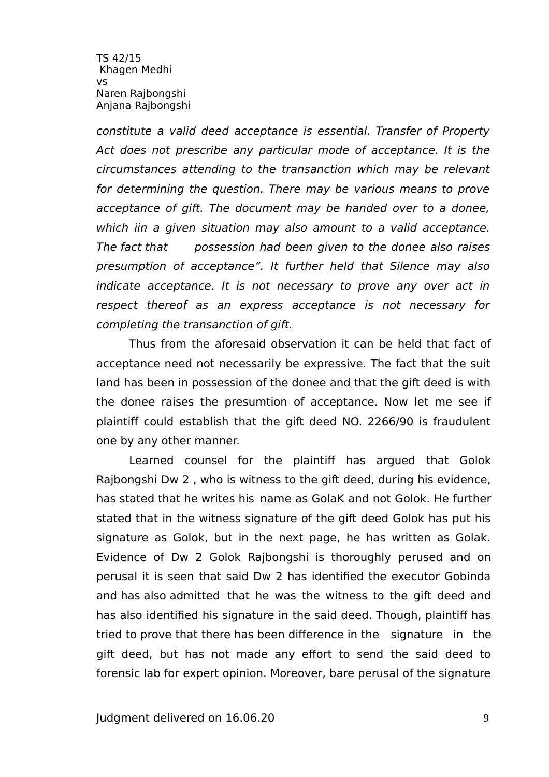constitute a valid deed acceptance is essential. Transfer of Property Act does not prescribe any particular mode of acceptance. It is the circumstances attending to the transanction which may be relevant for determining the question. There may be various means to prove acceptance of gift. The document may be handed over to a donee, which iin a given situation may also amount to a valid acceptance. The fact that possession had been given to the donee also raises presumption of acceptance". It further held that Silence may also indicate acceptance. It is not necessary to prove any over act in respect thereof as an express acceptance is not necessary for completing the transanction of gift.

Thus from the aforesaid observation it can be held that fact of acceptance need not necessarily be expressive. The fact that the suit land has been in possession of the donee and that the gift deed is with the donee raises the presumtion of acceptance. Now let me see if plaintif could establish that the gift deed NO. 2266/90 is fraudulent one by any other manner.

Learned counsel for the plaintif has argued that Golok Rajbongshi Dw 2 , who is witness to the gift deed, during his evidence, has stated that he writes his name as GolaK and not Golok. He further stated that in the witness signature of the gift deed Golok has put his signature as Golok, but in the next page, he has written as Golak. Evidence of Dw 2 Golok Rajbongshi is thoroughly perused and on perusal it is seen that said Dw 2 has identified the executor Gobinda and has also admitted that he was the witness to the gift deed and has also identified his signature in the said deed. Though, plaintiff has tried to prove that there has been diference in the signature in the gift deed, but has not made any effort to send the said deed to forensic lab for expert opinion. Moreover, bare perusal of the signature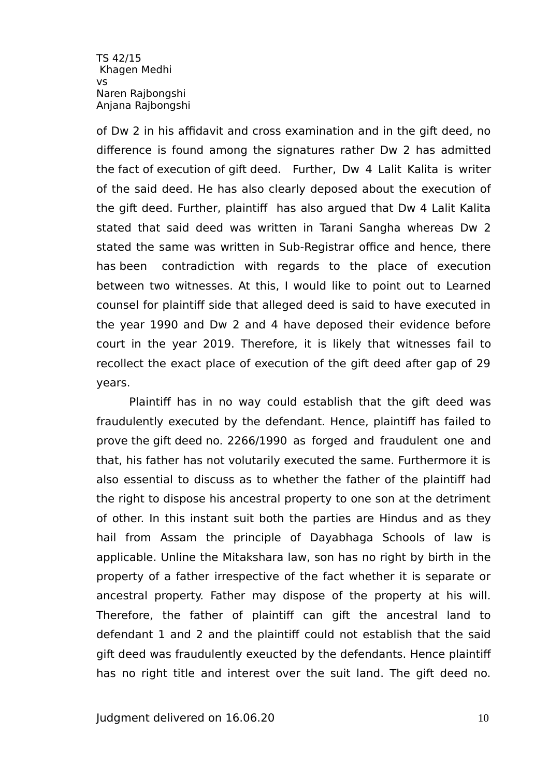of Dw 2 in his affidavit and cross examination and in the gift deed, no diference is found among the signatures rather Dw 2 has admitted the fact of execution of gift deed. Further, Dw 4 Lalit Kalita is writer of the said deed. He has also clearly deposed about the execution of the gift deed. Further, plaintif has also argued that Dw 4 Lalit Kalita stated that said deed was written in Tarani Sangha whereas Dw 2 stated the same was written in Sub-Registrar office and hence, there has been contradiction with regards to the place of execution between two witnesses. At this, I would like to point out to Learned counsel for plaintif side that alleged deed is said to have executed in the year 1990 and Dw 2 and 4 have deposed their evidence before court in the year 2019. Therefore, it is likely that witnesses fail to recollect the exact place of execution of the gift deed after gap of 29 years.

Plaintiff has in no way could establish that the gift deed was fraudulently executed by the defendant. Hence, plaintiff has failed to prove the gift deed no. 2266/1990 as forged and fraudulent one and that, his father has not volutarily executed the same. Furthermore it is also essential to discuss as to whether the father of the plaintif had the right to dispose his ancestral property to one son at the detriment of other. In this instant suit both the parties are Hindus and as they hail from Assam the principle of Dayabhaga Schools of law is applicable. Unline the Mitakshara law, son has no right by birth in the property of a father irrespective of the fact whether it is separate or ancestral property. Father may dispose of the property at his will. Therefore, the father of plaintif can gift the ancestral land to defendant 1 and 2 and the plaintif could not establish that the said gift deed was fraudulently exeucted by the defendants. Hence plaintiff has no right title and interest over the suit land. The gift deed no.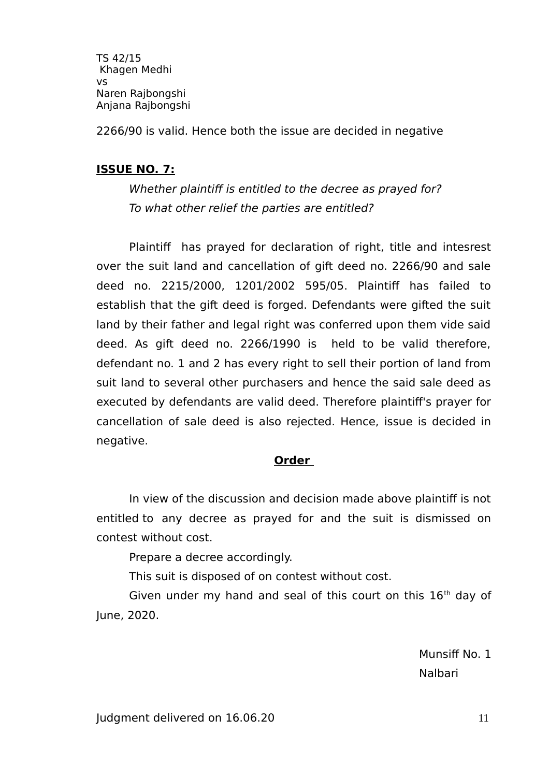2266/90 is valid. Hence both the issue are decided in negative

### **ISSUE NO. 7:**

Whether plaintiff is entitled to the decree as prayed for? To what other relief the parties are entitled?

Plaintif has prayed for declaration of right, title and intesrest over the suit land and cancellation of gift deed no. 2266/90 and sale deed no. 2215/2000, 1201/2002 595/05. Plaintif has failed to establish that the gift deed is forged. Defendants were gifted the suit land by their father and legal right was conferred upon them vide said deed. As gift deed no. 2266/1990 is held to be valid therefore, defendant no. 1 and 2 has every right to sell their portion of land from suit land to several other purchasers and hence the said sale deed as executed by defendants are valid deed. Therefore plaintif's prayer for cancellation of sale deed is also rejected. Hence, issue is decided in negative.

### **Order**

In view of the discussion and decision made above plaintif is not entitled to any decree as prayed for and the suit is dismissed on contest without cost.

Prepare a decree accordingly.

This suit is disposed of on contest without cost.

Given under my hand and seal of this court on this  $16<sup>th</sup>$  day of June, 2020.

Munsiff No. 1 Nalbari